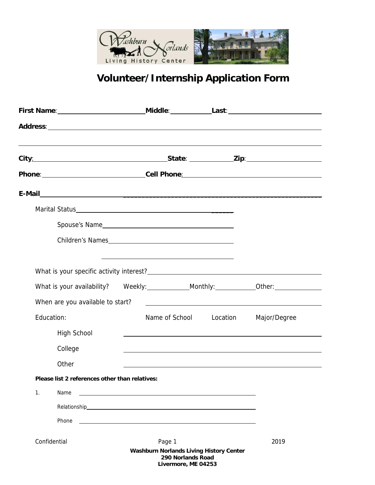

## **Volunteer/Internship Application Form**

|    |                                                | ,我们也不会有什么。""我们的人,我们也不会有什么?""我们的人,我们也不会有什么?""我们的人,我们也不会有什么?""我们的人,我们也不会有什么?""我们的人           |          |                                                                                                                      |
|----|------------------------------------------------|--------------------------------------------------------------------------------------------|----------|----------------------------------------------------------------------------------------------------------------------|
|    |                                                | Phone: ________________________________Cell Phone: ______________________________          |          |                                                                                                                      |
|    |                                                |                                                                                            |          |                                                                                                                      |
|    |                                                |                                                                                            |          |                                                                                                                      |
|    |                                                | Spouse's Name                                                                              |          |                                                                                                                      |
|    |                                                | Children's Names                                                                           |          |                                                                                                                      |
|    |                                                |                                                                                            |          |                                                                                                                      |
|    |                                                |                                                                                            |          |                                                                                                                      |
|    | When are you available to start?               |                                                                                            |          | <u> 1989 - Jan Samuel Barbara, martin da shekara tsara 1989 - Andrea Samuel Barbara, mashrida a shekara tsara 19</u> |
|    | Education:                                     | Name of School                                                                             | Location | Major/Degree                                                                                                         |
|    | <b>High School</b>                             |                                                                                            |          |                                                                                                                      |
|    | College                                        |                                                                                            |          |                                                                                                                      |
|    | Other                                          |                                                                                            |          |                                                                                                                      |
|    | Please list 2 references other than relatives: |                                                                                            |          |                                                                                                                      |
| 1. | Name                                           |                                                                                            |          |                                                                                                                      |
|    |                                                |                                                                                            |          |                                                                                                                      |
|    | Phone                                          |                                                                                            |          |                                                                                                                      |
|    | Confidential                                   | Page 1                                                                                     |          | 2019                                                                                                                 |
|    |                                                | <b>Washburn Norlands Living History Center</b><br>290 Norlands Road<br>Livermore, ME 04253 |          |                                                                                                                      |